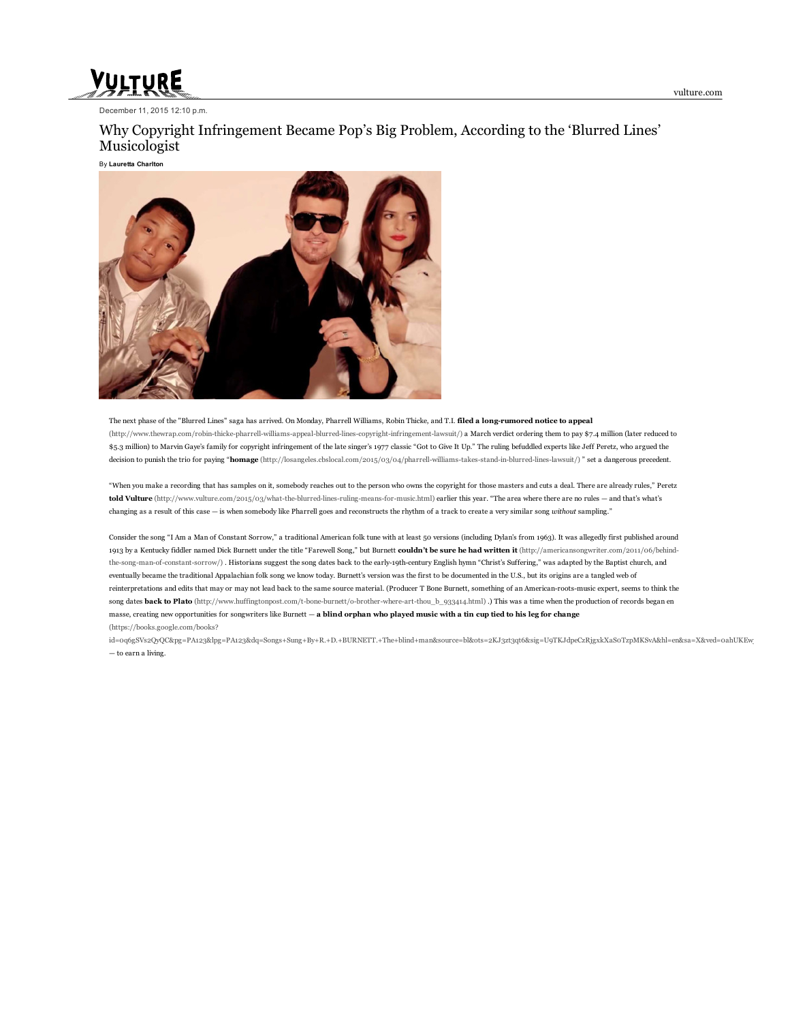vulture.com

# VULTURE

December 11, 2015  $12:10$  p.m.

# Why Copyright Infringement Became Pop's Big Problem, According to the 'Blurred Lines' Musicologist

By Lauretta Charlton



The next phase of the "Blurred Lines" saga has arrived. On Monday, Pharrell Williams, Robin Thicke, and T.I. filed a long-rumored notice to appeal (http://www.thewrap.com/robin-thicke-pharrell-williams-appeal-blurred-lines-copyright-infringement-lawsuit/) a March verdict ordering them to pay \$7.4 million (later reduced to \$5.3 million) to Marvin Gaye's family for copyright infringement of the late singer's 1977 classic "Got to Give It Up." The ruling befuddled experts like Jeff Peretz, who argued the decision to punish the trio for paying "homage (http://losangeles.cbslocal.com/2015/03/04/pharrell-williams-takes-stand-in-blurred-lines-lawsuit/) " set a dangerous precedent.

"When you make a recording that has samples on it, somebody reaches out to the person who owns the copyright for those masters and cuts a deal. There are already rules," Peretz told Vulture (http://www.vulture.com/2015/03/what-the-blurred-lines-ruling-means-for-music.html) earlier this year. "The area where there are no rules — and that's what's changing as a result of this case — is when somebody like Pharrell goes and reconstructs the rhythm of a track to create a very similar song without sampling."

Consider the song "I Am a Man of Constant Sorrow," a traditional American folk tune with at least 50 versions (including Dylan's from 1963). It was allegedly first published around 1913 by a Kentucky fiddler named Dick Burnett under the title "Farewell Song," but Burnett couldn't be sure he had written it [\(http://americansongwriter.com/2011/06/behind](http://americansongwriter.com/2011/06/behind-the-song-man-of-constant-sorrow/)the-song-man-of-constant-sorrow/). Historians suggest the song dates back to the early-19th-century English hymn "Christ's Suffering," was adapted by the Baptist church, and eventually became the traditional Appalachian folk song we know today. Burnett's version was the first to be documented in the U.S., but its origins are a tangled web of reinterpretations and edits that may or may not lead back to the same source material. (Producer T Bone Burnett, something of an Americanrootsmusic expert, seems to think the song dates back to Plato (http://www.huffingtonpost.com/t-bone-burnett/o-brother-where-art-thou\_b\_933414.html) .) This was a time when the production of records began en masse, creating new opportunities for songwriters like Burnett - a blind orphan who played music with a tin cup tied to his leg for change (https://books.google.com/books?

id=0q6gSVs2QyQC&pg=PA123&lpg=PA123&dq=Songs+Sung+By+R.+D.+BURNETT.+The+blind+man&source=bl&ots=2KJ3zt3qt6&sig=U9TKJdpeCzRjgxkXaSoTzpMKSvA&hl=en&sa=X&ved=0ahUKEw — to earn a living.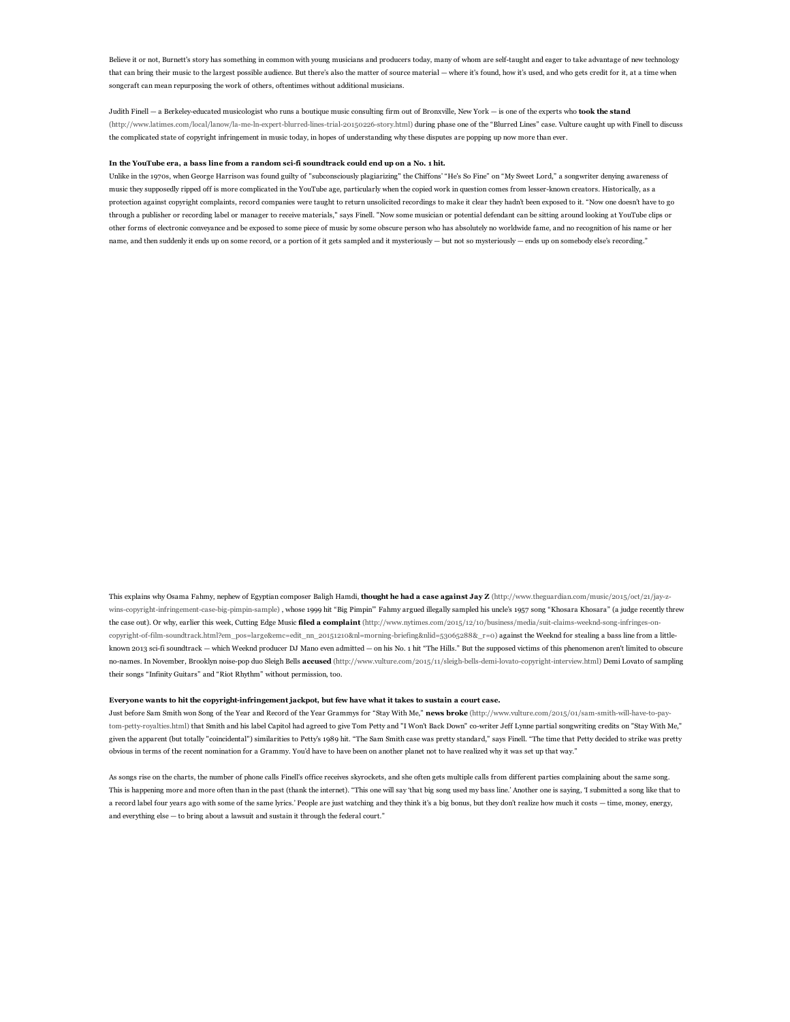Believe it or not, Burnett's story has something in common with young musicians and producers today, many of whom are selftaught and eager to take advantage of new technology that can bring their music to the largest possible audience. But there's also the matter of source material — where it's found, how it's used, and who gets credit for it, at a time when songcraft can mean repurposing the work of others, oftentimes without additional musicians.

Judith Finell - a Berkeley-educated musicologist who runs a boutique music consulting firm out of Bronxville, New York - is one of the experts who took the stand (http://www.latimes.com/local/lanow/la-me-ln-expert-blurred-lines-trial-20150226-story.html) during phase one of the "Blurred Lines" case. Vulture caught up with Finell to discuss the complicated state of copyright infringement in music today, in hopes of understanding why these disputes are popping up now more than ever.

## In the YouTube era, a bass line from a random scifi soundtrack could end up on a No. 1 hit.

Unlike in the 1970s, when George Harrison was found guilty of "subconsciously plagiarizing" the Chiffons' "He's So Fine" on "My Sweet Lord," a songwriter denying awareness of music they supposedly ripped off is more complicated in the YouTube age, particularly when the copied work in question comes from lesser-known creators. Historically, as a protection against copyright complaints, record companies were taught to return unsolicited recordings to make it clear they hadn't been exposed to it. "Now one doesn't have to go through a publisher or recording label or manager to receive materials," says Finell. "Now some musician or potential defendant can be sitting around looking at YouTube clips or other forms of electronic conveyance and be exposed to some piece of music by some obscure person who has absolutely no worldwide fame, and no recognition of his name or her name, and then suddenly it ends up on some record, or a portion of it gets sampled and it mysteriously — but not so mysteriously — ends up on somebody else's recording."

This explains why Osama Fahmy, nephew of Egyptian composer Baligh Hamdi, thought he had a case against Jay Z (http://www.theguardian.com/music/2015/oct/21/jay-zwins-copyright-infringement-case-big-pimpin-sample) , whose 1999 hit "Big Pimpin" Fahmy argued illegally sampled his uncle's 1957 song "Khosara Khosara" (a judge recently threw the case out). Or why, earlier this week, Cutting Edge Music filed a complaint (http://www.nytimes.com/2015/12/10/business/media/suit-claims-weeknd-song-infringes-oncopyright-of-film-soundtrack.html?em\_pos=large&emc=edit\_nn\_20151210&nl=morning-briefing&nlid=53065288&\_r=0) against the Weeknd for stealing a bass line from a littleknown 2013 scifi soundtrack — which Weeknd producer DJ Mano even admitted — on his No. 1 hit "The Hills." But the supposed victims of this phenomenon aren't limited to obscure no-names. In November, Brooklyn noise-pop duo Sleigh Bells accused (http://www.vulture.com/2015/11/sleigh-bells-demi-lovato-copyright-interview.html) Demi Lovato of sampling their songs "Infinity Guitars" and "Riot Rhythm" without permission, too.

#### Everyone wants to hit the copyright-infringement jackpot, but few have what it takes to sustain a court case.

Just before Sam Smith won Song of the Year and Record of the Year Grammys for "Stay With Me," news broke (http://www.vulture.com/2015/01/sam-smith-will-have-to-paytompettyroyalties.html) that Smith and his label Capitol had agreed to give Tom Petty and "I Won't Back Down" cowriter Jeff Lynne partial songwriting credits on "Stay With Me," given the apparent (but totally "coincidental") similarities to Petty's 1989 hit. "The Sam Smith case was pretty standard," says Finell. "The time that Petty decided to strike was pretty obvious in terms of the recent nomination for a Grammy. You'd have to have been on another planet not to have realized why it was set up that way."

As songs rise on the charts, the number of phone calls Finell's office receives skyrockets, and she often gets multiple calls from different parties complaining about the same song. This is happening more and more often than in the past (thank the internet). "This one will say 'that big song used my bass line.' Another one is saying, 'I submitted a song like that to a record label four years ago with some of the same lyrics.' People are just watching and they think it's a big bonus, but they don't realize how much it costs — time, money, energy, and everything else — to bring about a lawsuit and sustain it through the federal court."